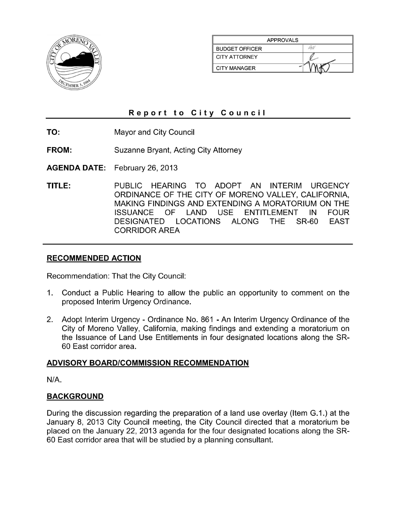

| <b>APPROVALS</b>      |  |  |
|-----------------------|--|--|
| <b>BUDGET OFFICER</b> |  |  |
| <b>CITY ATTORNEY</b>  |  |  |
| <b>CITY MANAGER</b>   |  |  |

### Report to City Council

TO: **Mayor and City Council** 

**FROM: Suzanne Bryant, Acting City Attorney** 

**AGENDA DATE:** February 26, 2013

TITLE: PUBLIC HEARING TO ADOPT AN INTERIM URGENCY ORDINANCE OF THE CITY OF MORENO VALLEY, CALIFORNIA, MAKING FINDINGS AND EXTENDING A MORATORIUM ON THE **ISSUANCE OF** LAND USE **ENTITLEMENT** IN **FOUR DESIGNATED LOCATIONS** ALONG THE. **SR-60 EAST CORRIDOR AREA** 

#### **RECOMMENDED ACTION**

Recommendation: That the City Council:

- Conduct a Public Hearing to allow the public an opportunity to comment on the  $1_{\cdot}$ proposed Interim Urgency Ordinance.
- 2. Adopt Interim Urgency Ordinance No. 861 An Interim Urgency Ordinance of the City of Moreno Valley, California, making findings and extending a moratorium on the Issuance of Land Use Entitlements in four designated locations along the SR-60 East corridor area.

#### ADVISORY BOARD/COMMISSION RECOMMENDATION

 $N/A$ .

#### **BACKGROUND**

During the discussion regarding the preparation of a land use overlay (Item G.1.) at the January 8, 2013 City Council meeting, the City Council directed that a moratorium be placed on the January 22, 2013 agenda for the four designated locations along the SR-60 East corridor area that will be studied by a planning consultant.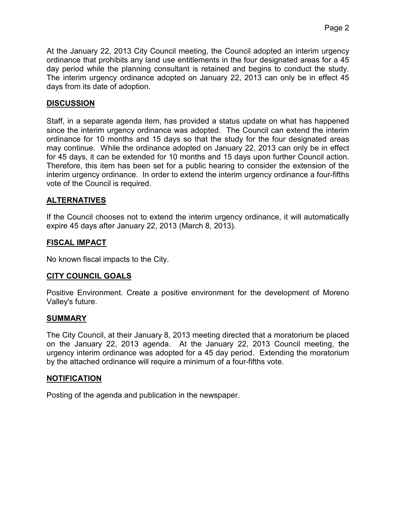At the January 22, 2013 City Council meeting, the Council adopted an interim urgency ordinance that prohibits any land use entitlements in the four designated areas for a 45 day period while the planning consultant is retained and begins to conduct the study. The interim urgency ordinance adopted on January 22, 2013 can only be in effect 45 days from its date of adoption.

### **DISCUSSION**

Staff, in a separate agenda item, has provided a status update on what has happened since the interim urgency ordinance was adopted. The Council can extend the interim ordinance for 10 months and 15 days so that the study for the four designated areas may continue. While the ordinance adopted on January 22, 2013 can only be in effect for 45 days, it can be extended for 10 months and 15 days upon further Council action. Therefore, this item has been set for a public hearing to consider the extension of the interim urgency ordinance. In order to extend the interim urgency ordinance a four-fifths vote of the Council is required.

### **ALTERNATIVES**

If the Council chooses not to extend the interim urgency ordinance, it will automatically expire 45 days after January 22, 2013 (March 8, 2013).

# **FISCAL IMPACT**

No known fiscal impacts to the City.

### **CITY COUNCIL GOALS**

Positive Environment. Create a positive environment for the development of Moreno Valley's future.

### **SUMMARY**

The City Council, at their January 8, 2013 meeting directed that a moratorium be placed on the January 22, 2013 agenda. At the January 22, 2013 Council meeting, the urgency interim ordinance was adopted for a 45 day period. Extending the moratorium by the attached ordinance will require a minimum of a four-fifths vote.

### **NOTIFICATION**

Posting of the agenda and publication in the newspaper.